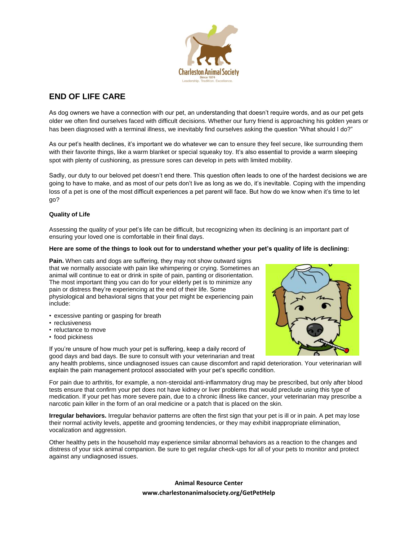

# **END OF LIFE CARE**

As dog owners we have a connection with our pet, an understanding that doesn't require words, and as our pet gets older we often find ourselves faced with difficult decisions. Whether our furry friend is approaching his golden years or has been diagnosed with a terminal illness, we inevitably find ourselves asking the question "What should I do?"

As our pet's health declines, it's important we do whatever we can to ensure they feel secure, like surrounding them with their favorite things, like a warm blanket or special squeaky toy. It's also essential to provide a warm sleeping spot with plenty of cushioning, as pressure sores can develop in pets with limited mobility.

Sadly, our duty to our beloved pet doesn't end there. This question often leads to one of the hardest decisions we are going to have to make, and as most of our pets don't live as long as we do, it's inevitable. Coping with the impending loss of a pet is one of the most difficult experiences a pet parent will face. But how do we know when it's time to let go?

# **Quality of Life**

Assessing the quality of your pet's life can be difficult, but recognizing when its declining is an important part of ensuring your loved one is comfortable in their final days.

#### **Here are some of the things to look out for to understand whether your pet's quality of life is declining:**

**Pain.** When cats and dogs are suffering, they may not show outward signs that we normally associate with pain like whimpering or crying. Sometimes an animal will continue to eat or drink in spite of pain, panting or disorientation. The most important thing you can do for your elderly pet is to minimize any pain or distress they're experiencing at the end of their life. Some physiological and behavioral signs that your pet might be experiencing pain include:

- excessive panting or gasping for breath
- reclusiveness
- reluctance to move
- food pickiness

If you're unsure of how much your pet is suffering, keep a daily record of good days and bad days. Be sure to consult with your veterinarian and treat



any health problems, since undiagnosed issues can cause discomfort and rapid deterioration. Your veterinarian will explain the pain management protocol associated with your pet's specific condition.

For pain due to arthritis, for example, a non-steroidal anti-inflammatory drug may be prescribed, but only after blood tests ensure that confirm your pet does not have kidney or liver problems that would preclude using this type of medication. If your pet has more severe pain, due to a chronic illness like cancer, your veterinarian may prescribe a narcotic pain killer in the form of an oral medicine or a patch that is placed on the skin.

**Irregular behaviors.** Irregular behavior patterns are often the first sign that your pet is ill or in pain. A pet may lose their normal activity levels, appetite and grooming tendencies, or they may exhibit inappropriate elimination, vocalization and aggression.

Other healthy pets in the household may experience similar abnormal behaviors as a reaction to the changes and distress of your sick animal companion. Be sure to get regular check-ups for all of your pets to monitor and protect against any undiagnosed issues.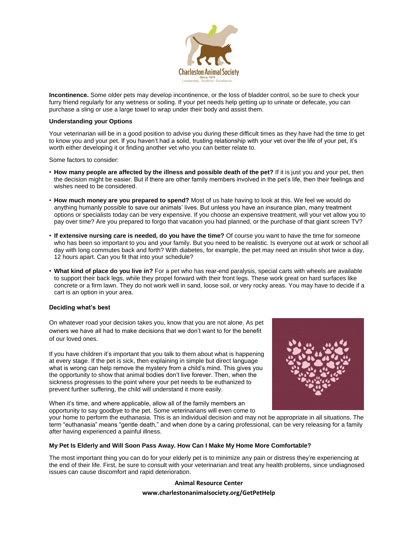

**Incontinence.** Some older pets may develop incontinence, or the loss of bladder control, so be sure to check your furry friend regularly for any wetness or soiling. If your pet needs help getting up to urinate or defecate, you can purchase a sling or use a large towel to wrap under their body and assist them.

#### **Understanding your Options**

Your veterinarian will be in a good position to advise you during these difficult times as they have had the time to get to know you and your pet. If you haven't had a solid, trusting relationship with your vet over the life of your pet, it's worth either developing it or finding another vet who you can better relate to.

Some factors to consider:

- **How many people are affected by the illness and possible death of the pet?** If it is just you and your pet, then the decision might be easier. But if there are other family members involved in the pet's life, then their feelings and wishes need to be considered.
- **How much money are you prepared to spend?** Most of us hate having to look at this. We feel we would do anything humanly possible to save our animals' lives. But unless you have an insurance plan, many treatment options or specialists today can be very expensive. If you choose an expensive treatment, will your vet allow you to pay over time? Are you prepared to forgo that vacation you had planned, or the purchase of that giant screen TV?
- **If extensive nursing care is needed, do you have the time?** Of course you want to have the time for someone who has been so important to you and your family. But you need to be realistic. Is everyone out at work or school all day with long commutes back and forth? With diabetes, for example, the pet may need an insulin shot twice a day, 12 hours apart. Can you fit that into your schedule?
- **What kind of place do you live in?** For a pet who has rear-end paralysis, special carts with wheels are available to support their back legs, while they propel forward with their front legs. These work great on hard surfaces like concrete or a firm lawn. They do not work well in sand, loose soil, or very rocky areas. You may have to decide if a cart is an option in your area.

#### **Deciding what's best**

On whatever road your decision takes you, know that you are not alone. As pet owners we have all had to make decisions that we don't want to for the benefit of our loved ones.

If you have children it's important that you talk to them about what is happening at every stage. If the pet is sick, then explaining in simple but direct language what is wrong can help remove the mystery from a child's mind. This gives you the opportunity to show that animal bodies don't live forever. Then, when the sickness progresses to the point where your pet needs to be euthanized to prevent further suffering, the child will understand it more easily.

When it's time, and where applicable, allow all of the family members an opportunity to say goodbye to the pet. Some veterinarians will even come to



your home to perform the euthanasia. This is an individual decision and may not be appropriate in all situations. The term "euthanasia" means "gentle death," and when done by a caring professional, can be very releasing for a family after having experienced a painful illness.

#### **My Pet Is Elderly and Will Soon Pass Away. How Can I Make My Home More Comfortable?**

The most important thing you can do for your elderly pet is to minimize any pain or distress they're experiencing at the end of their life. First, be sure to consult with your veterinarian and treat any health problems, since undiagnosed issues can cause discomfort and rapid deterioration.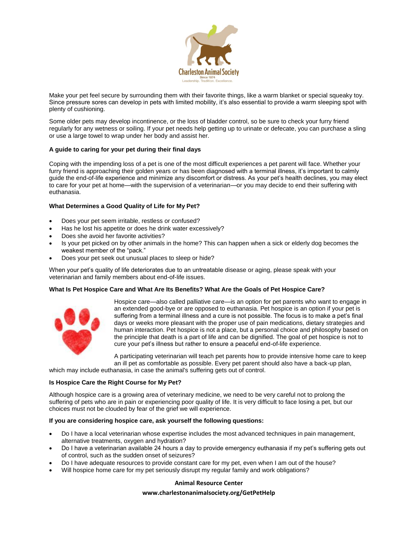

Make your pet feel secure by surrounding them with their favorite things, like a warm blanket or special squeaky toy. Since pressure sores can develop in pets with limited mobility, it's also essential to provide a warm sleeping spot with plenty of cushioning.

Some older pets may develop incontinence, or the loss of bladder control, so be sure to check your furry friend regularly for any wetness or soiling. If your pet needs help getting up to urinate or defecate, you can purchase a sling or use a large towel to wrap under her body and assist her.

#### **A guide to caring for your pet during their final days**

Coping with the impending loss of a pet is one of the most difficult experiences a pet parent will face. Whether your furry friend is approaching their golden years or has been diagnosed with a terminal illness, it's important to calmly guide the end-of-life experience and minimize any discomfort or distress. As your pet's health declines, you may elect to care for your pet at home—with the supervision of a veterinarian—or you may decide to end their suffering with euthanasia.

#### **What Determines a Good Quality of Life for My Pet?**

- Does your pet seem irritable, restless or confused?
- Has he lost his appetite or does he drink water excessively?
- Does she avoid her favorite activities?
- Is your pet picked on by other animals in the home? This can happen when a sick or elderly dog becomes the weakest member of the "pack."
- Does your pet seek out unusual places to sleep or hide?

When your pet's quality of life deteriorates due to an untreatable disease or aging, please speak with your veterinarian and family members about end-of-life issues.

#### **What Is Pet Hospice Care and What Are Its Benefits? What Are the Goals of Pet Hospice Care?**



Hospice care—also called palliative care—is an option for pet parents who want to engage in an extended good-bye or are opposed to euthanasia. Pet hospice is an option if your pet is suffering from a terminal illness and a cure is not possible. The focus is to make a pet's final days or weeks more pleasant with the proper use of pain medications, dietary strategies and human interaction. Pet hospice is not a place, but a personal choice and philosophy based on the principle that death is a part of life and can be dignified. The goal of pet hospice is not to cure your pet's illness but rather to ensure a peaceful end-of-life experience.

A participating veterinarian will teach pet parents how to provide intensive home care to keep an ill pet as comfortable as possible. Every pet parent should also have a back-up plan, which may include euthanasia, in case the animal's suffering gets out of control.

# **Is Hospice Care the Right Course for My Pet?**

Although hospice care is a growing area of veterinary medicine, we need to be very careful not to prolong the suffering of pets who are in pain or experiencing poor quality of life. It is very difficult to face losing a pet, but our choices must not be clouded by fear of the grief we will experience.

#### **If you are considering hospice care, ask yourself the following questions:**

- Do I have a local veterinarian whose expertise includes the most advanced techniques in pain management, alternative treatments, oxygen and hydration?
- Do I have a veterinarian available 24 hours a day to provide emergency euthanasia if my pet's suffering gets out of control, such as the sudden onset of seizures?
- Do I have adequate resources to provide constant care for my pet, even when I am out of the house?
- Will hospice home care for my pet seriously disrupt my regular family and work obligations?

#### **Animal Resource Center**

#### **www.charlestonanimalsociety.org/GetPetHelp**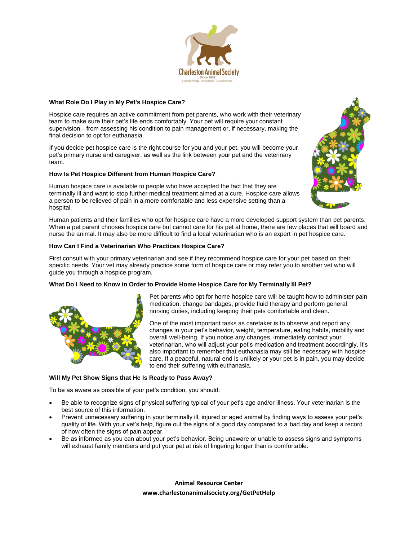

#### **What Role Do I Play in My Pet's Hospice Care?**

Hospice care requires an active commitment from pet parents, who work with their veterinary team to make sure their pet's life ends comfortably. Your pet will require your constant supervision—from assessing his condition to pain management or, if necessary, making the final decision to opt for euthanasia.

If you decide pet hospice care is the right course for you and your pet, you will become your pet's primary nurse and caregiver, as well as the link between your pet and the veterinary team.

## **How Is Pet Hospice Different from Human Hospice Care?**

Human hospice care is available to people who have accepted the fact that they are terminally ill and want to stop further medical treatment aimed at a cure. Hospice care allows a person to be relieved of pain in a more comfortable and less expensive setting than a hospital.

Human patients and their families who opt for hospice care have a more developed support system than pet parents. When a pet parent chooses hospice care but cannot care for his pet at home, there are few places that will board and nurse the animal. It may also be more difficult to find a local veterinarian who is an expert in pet hospice care.

## **How Can I Find a Veterinarian Who Practices Hospice Care?**

First consult with your primary veterinarian and see if they recommend hospice care for your pet based on their specific needs. Your vet may already practice some form of hospice care or may refer you to another vet who will guide you through a hospice program.

#### **What Do I Need to Know in Order to Provide Home Hospice Care for My Terminally Ill Pet?**



Pet parents who opt for home hospice care will be taught how to administer pain medication, change bandages, provide fluid therapy and perform general nursing duties, including keeping their pets comfortable and clean.

One of the most important tasks as caretaker is to observe and report any changes in your pet's behavior, weight, temperature, eating habits, mobility and overall well-being. If you notice any changes, immediately contact your veterinarian, who will adjust your pet's medication and treatment accordingly. It's also important to remember that euthanasia may still be necessary with hospice care. If a peaceful, natural end is unlikely or your pet is in pain, you may decide to end their suffering with euthanasia.

#### **Will My Pet Show Signs that He Is Ready to Pass Away?**

To be as aware as possible of your pet's condition, you should:

- Be able to recognize signs of physical suffering typical of your pet's age and/or illness. Your veterinarian is the best source of this information.
- Prevent unnecessary suffering in your terminally ill, injured or aged animal by finding ways to assess your pet's quality of life. With your vet's help, figure out the signs of a good day compared to a bad day and keep a record of how often the signs of pain appear.
- Be as informed as you can about your pet's behavior. Being unaware or unable to assess signs and symptoms will exhaust family members and put your pet at risk of lingering longer than is comfortable.

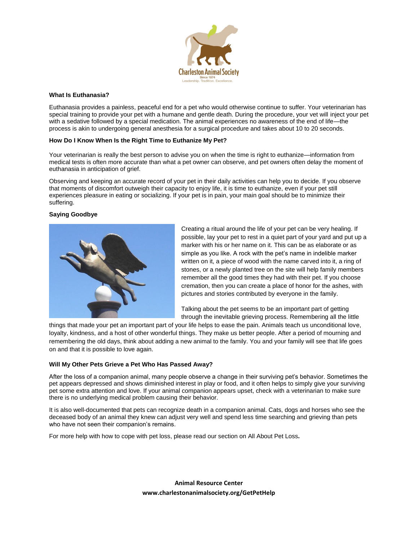

#### **What Is Euthanasia?**

Euthanasia provides a painless, peaceful end for a pet who would otherwise continue to suffer. Your veterinarian has special training to provide your pet with a humane and gentle death. During the procedure, your vet will inject your pet with a sedative followed by a special medication. The animal experiences no awareness of the end of life—the process is akin to undergoing general anesthesia for a surgical procedure and takes about 10 to 20 seconds.

#### **How Do I Know When Is the Right Time to Euthanize My Pet?**

Your veterinarian is really the best person to advise you on when the time is right to euthanize—information from medical tests is often more accurate than what a pet owner can observe, and pet owners often delay the moment of euthanasia in anticipation of grief.

Observing and keeping an accurate record of your pet in their daily activities can help you to decide. If you observe that moments of discomfort outweigh their capacity to enjoy life, it is time to euthanize, even if your pet still experiences pleasure in eating or socializing. If your pet is in pain, your main goal should be to minimize their suffering.

#### **Saying Goodbye**



Creating a ritual around the life of your pet can be very healing. If possible, lay your pet to rest in a quiet part of your yard and put up a marker with his or her name on it. This can be as elaborate or as simple as you like. A rock with the pet's name in indelible marker written on it, a piece of wood with the name carved into it, a ring of stones, or a newly planted tree on the site will help family members remember all the good times they had with their pet. If you choose cremation, then you can create a place of honor for the ashes, with pictures and stories contributed by everyone in the family.

Talking about the pet seems to be an important part of getting through the inevitable grieving process. Remembering all the little

things that made your pet an important part of your life helps to ease the pain. Animals teach us unconditional love, loyalty, kindness, and a host of other wonderful things. They make us better people. After a period of mourning and remembering the old days, think about adding a new animal to the family. You and your family will see that life goes on and that it is possible to love again.

#### **Will My Other Pets Grieve a Pet Who Has Passed Away?**

After the loss of a companion animal, many people observe a change in their surviving pet's behavior. Sometimes the pet appears depressed and shows diminished interest in play or food, and it often helps to simply give your surviving pet some extra attention and love. If your animal companion appears upset, check with a veterinarian to make sure there is no underlying medical problem causing their behavior.

It is also well-documented that pets can recognize death in a companion animal. Cats, dogs and horses who see the deceased body of an animal they knew can adjust very well and spend less time searching and grieving than pets who have not seen their companion's remains.

For more help with how to cope with pet loss, please read our section on All About Pet Loss**.**